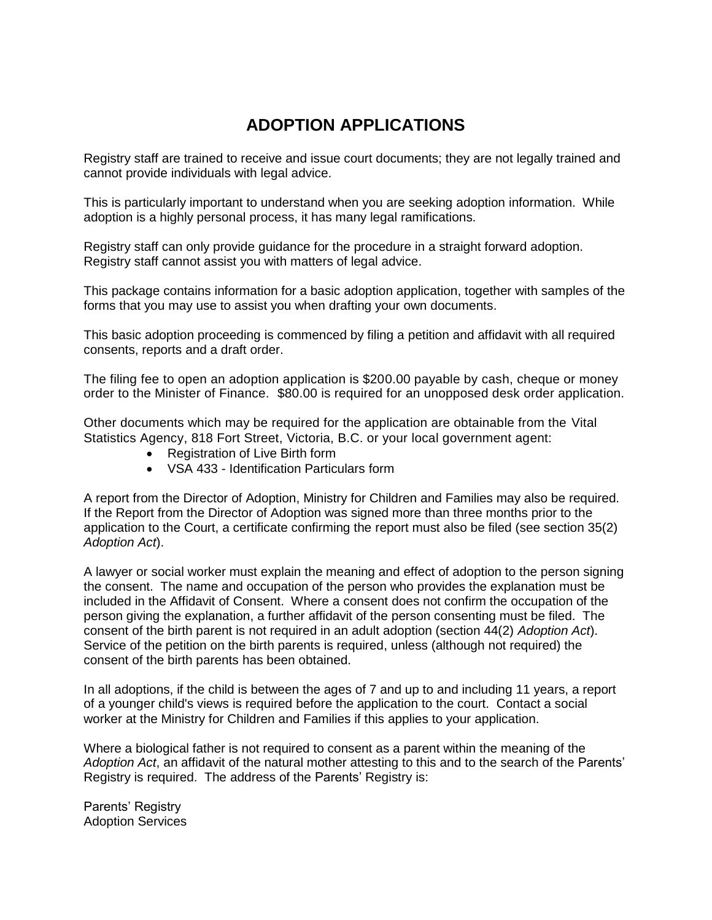# **ADOPTION APPLICATIONS**

Registry staff are trained to receive and issue court documents; they are not legally trained and cannot provide individuals with legal advice.

This is particularly important to understand when you are seeking adoption information. While adoption is a highly personal process, it has many legal ramifications.

Registry staff can only provide guidance for the procedure in a straight forward adoption. Registry staff cannot assist you with matters of legal advice.

This package contains information for a basic adoption application, together with samples of the forms that you may use to assist you when drafting your own documents.

This basic adoption proceeding is commenced by filing a petition and affidavit with all required consents, reports and a draft order.

The filing fee to open an adoption application is \$200.00 payable by cash, cheque or money order to the Minister of Finance. \$80.00 is required for an unopposed desk order application.

Other documents which may be required for the application are obtainable from the Vital Statistics Agency, 818 Fort Street, Victoria, B.C. or your local government agent:

- Registration of Live Birth form
- VSA 433 Identification Particulars form

A report from the Director of Adoption, Ministry for Children and Families may also be required. If the Report from the Director of Adoption was signed more than three months prior to the application to the Court, a certificate confirming the report must also be filed (see section 35(2) *Adoption Act*).

A lawyer or social worker must explain the meaning and effect of adoption to the person signing the consent. The name and occupation of the person who provides the explanation must be included in the Affidavit of Consent. Where a consent does not confirm the occupation of the person giving the explanation, a further affidavit of the person consenting must be filed. The consent of the birth parent is not required in an adult adoption (section 44(2) *Adoption Act*). Service of the petition on the birth parents is required, unless (although not required) the consent of the birth parents has been obtained.

In all adoptions, if the child is between the ages of 7 and up to and including 11 years, a report of a younger child's views is required before the application to the court. Contact a social worker at the Ministry for Children and Families if this applies to your application.

Where a biological father is not required to consent as a parent within the meaning of the *Adoption Act*, an affidavit of the natural mother attesting to this and to the search of the Parents' Registry is required. The address of the Parents' Registry is:

Parents' Registry Adoption Services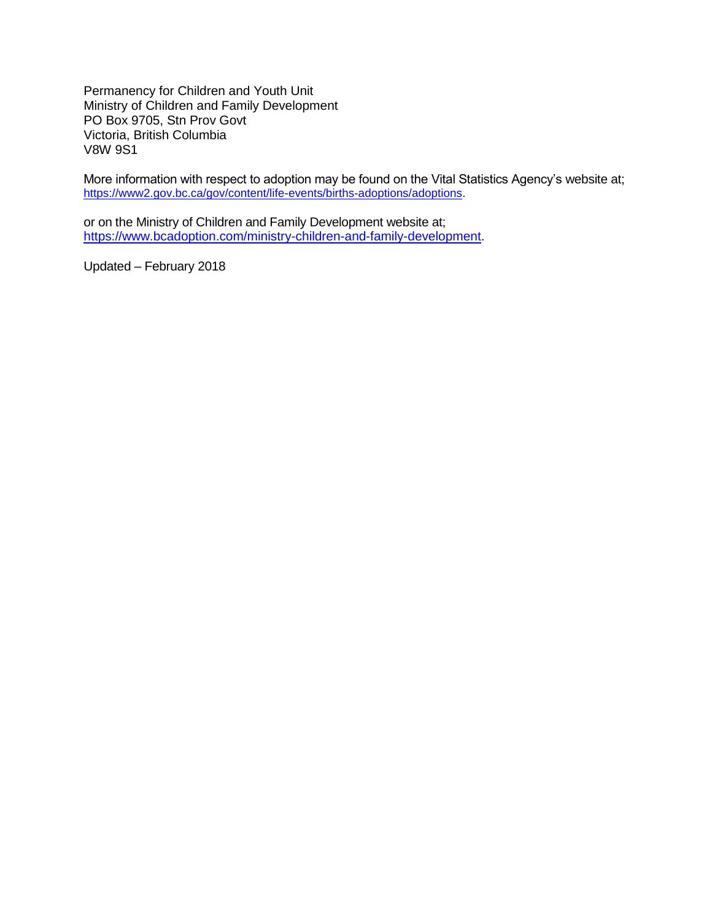Permanency for Children and Youth Unit Ministry of Children and Family Development PO Box 9705, Stn Prov Govt Victoria, British Columbia V8W 9S1

More information with respect to adoption may be found on the Vital Statistics Agency's website at; [https://www2.gov.bc.ca/gov/content/life-events/births-adoptions/adoptions.](https://www2.gov.bc.ca/gov/content/life-events/births-adoptions/adoptions)

or on the Ministry of Children and Family Development website at; [https://www.bcadoption.com/ministry-children-and-family-development.](https://www.bcadoption.com/ministry-children-and-family-development)

Updated – February 2018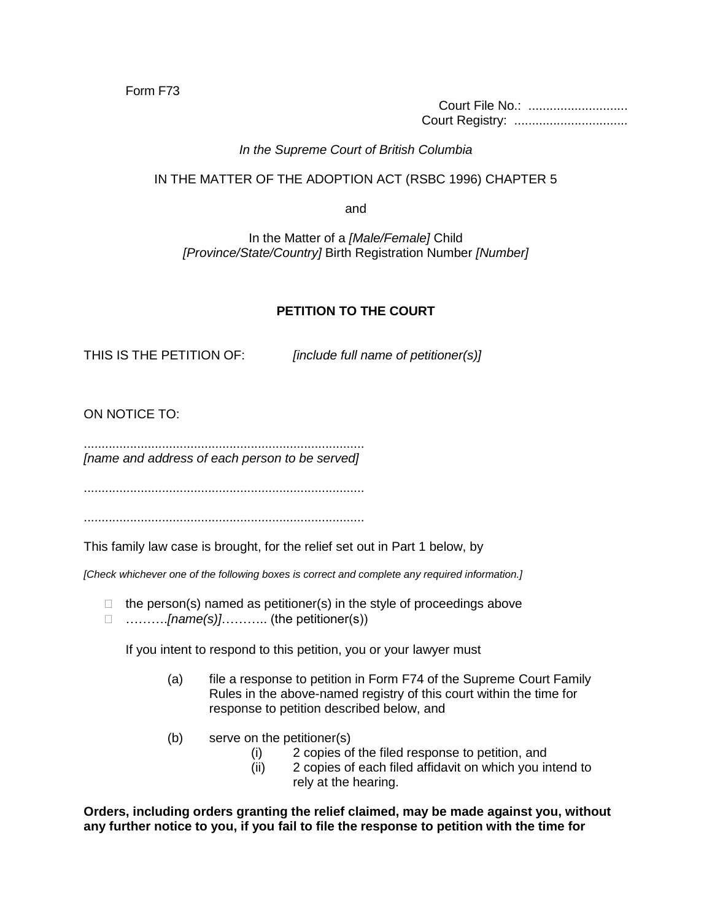Form F73

Court File No.: ............................ Court Registry: ................................

### *In the Supreme Court of British Columbia*

# IN THE MATTER OF THE ADOPTION ACT (RSBC 1996) CHAPTER 5

and

In the Matter of a *[Male/Female]* Child *[Province/State/Country]* Birth Registration Number *[Number]*

# **PETITION TO THE COURT**

THIS IS THE PETITION OF: *[include full name of petitioner(s)]*

ON NOTICE TO:

............................................................................... *[name and address of each person to be served]*

...............................................................................

...............................................................................

This family law case is brought, for the relief set out in Part 1 below, by

*[Check whichever one of the following boxes is correct and complete any required information.]*

 $\Box$  the person(s) named as petitioner(s) in the style of proceedings above ……….*[name(s)]*……….. (the petitioner(s))

If you intent to respond to this petition, you or your lawyer must

- (a) file a response to petition in Form F74 of the Supreme Court Family Rules in the above-named registry of this court within the time for response to petition described below, and
- (b) serve on the petitioner(s)
	- (i) 2 copies of the filed response to petition, and
	- (ii) 2 copies of each filed affidavit on which you intend to rely at the hearing.

**Orders, including orders granting the relief claimed, may be made against you, without any further notice to you, if you fail to file the response to petition with the time for**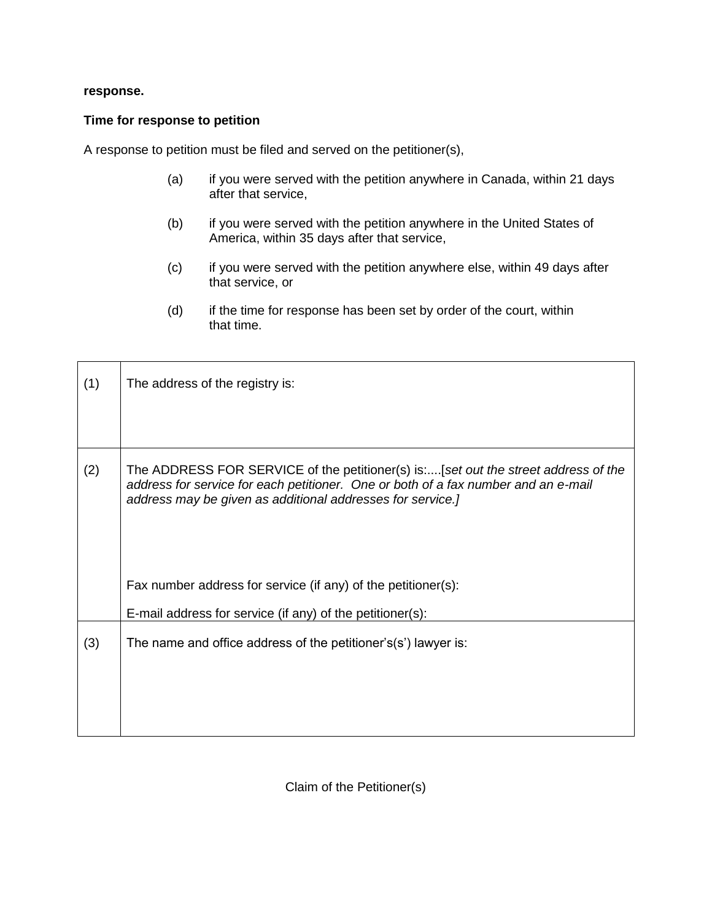#### **response.**

#### **Time for response to petition**

A response to petition must be filed and served on the petitioner(s),

- (a) if you were served with the petition anywhere in Canada, within 21 days after that service,
- (b) if you were served with the petition anywhere in the United States of America, within 35 days after that service,
- (c) if you were served with the petition anywhere else, within 49 days after that service, or
- (d) if the time for response has been set by order of the court, within that time.

| (1) | The address of the registry is:                                                                                                                                                                                                        |
|-----|----------------------------------------------------------------------------------------------------------------------------------------------------------------------------------------------------------------------------------------|
| (2) | The ADDRESS FOR SERVICE of the petitioner(s) is:[set out the street address of the<br>address for service for each petitioner. One or both of a fax number and an e-mail<br>address may be given as additional addresses for service.] |
|     | Fax number address for service (if any) of the petitioner(s):                                                                                                                                                                          |
|     | E-mail address for service (if any) of the petitioner(s):                                                                                                                                                                              |
| (3) | The name and office address of the petitioner's(s') lawyer is:                                                                                                                                                                         |

Claim of the Petitioner(s)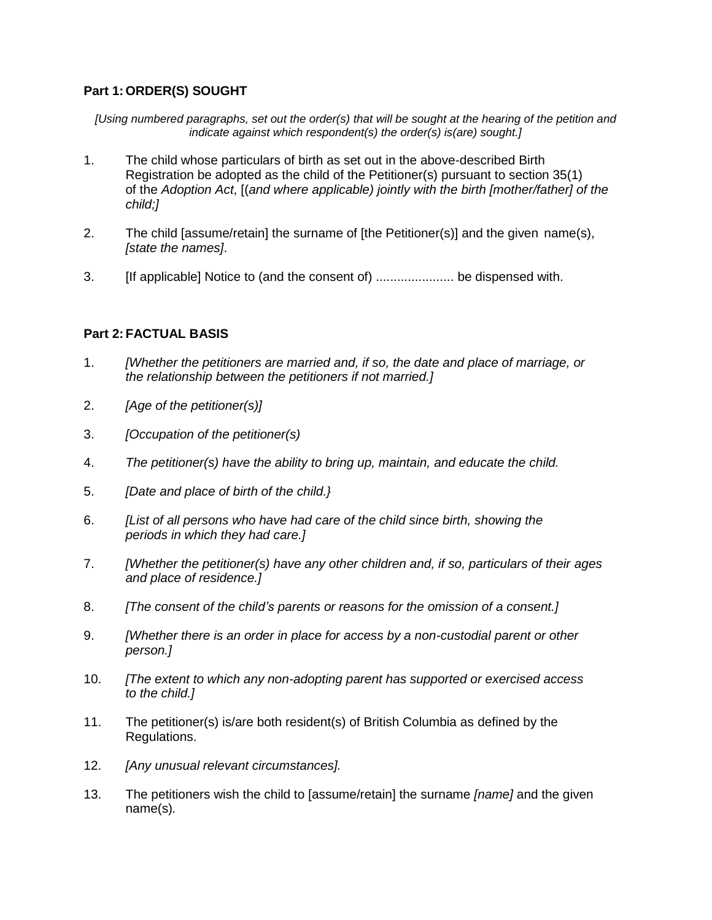# **Part 1: ORDER(S) SOUGHT**

*[Using numbered paragraphs, set out the order(s) that will be sought at the hearing of the petition and indicate against which respondent(s) the order(s) is(are) sought.]*

- 1. The child whose particulars of birth as set out in the above-described Birth Registration be adopted as the child of the Petitioner(s) pursuant to section 35(1) of the *Adoption Act*, [(*and where applicable) jointly with the birth [mother/father] of the child;]*
- 2. The child [assume/retain] the surname of [the Petitioner(s)] and the given name(s), *[state the names]*.
- 3. [If applicable] Notice to (and the consent of) ...................... be dispensed with.

### **Part 2: FACTUAL BASIS**

- 1. *[Whether the petitioners are married and, if so, the date and place of marriage, or the relationship between the petitioners if not married.]*
- 2. *[Age of the petitioner(s)]*
- 3. *[Occupation of the petitioner(s)*
- 4. *The petitioner(s) have the ability to bring up, maintain, and educate the child.*
- 5. *[Date and place of birth of the child.}*
- 6. *[List of all persons who have had care of the child since birth, showing the periods in which they had care.]*
- 7. *[Whether the petitioner(s) have any other children and, if so, particulars of their ages and place of residence.]*
- 8. *[The consent of the child's parents or reasons for the omission of a consent.]*
- 9. *[Whether there is an order in place for access by a non-custodial parent or other person.]*
- 10. *[The extent to which any non-adopting parent has supported or exercised access to the child.]*
- 11. The petitioner(s) is/are both resident(s) of British Columbia as defined by the Regulations.
- 12. *[Any unusual relevant circumstances].*
- 13. The petitioners wish the child to [assume/retain] the surname *[name]* and the given name(s)*.*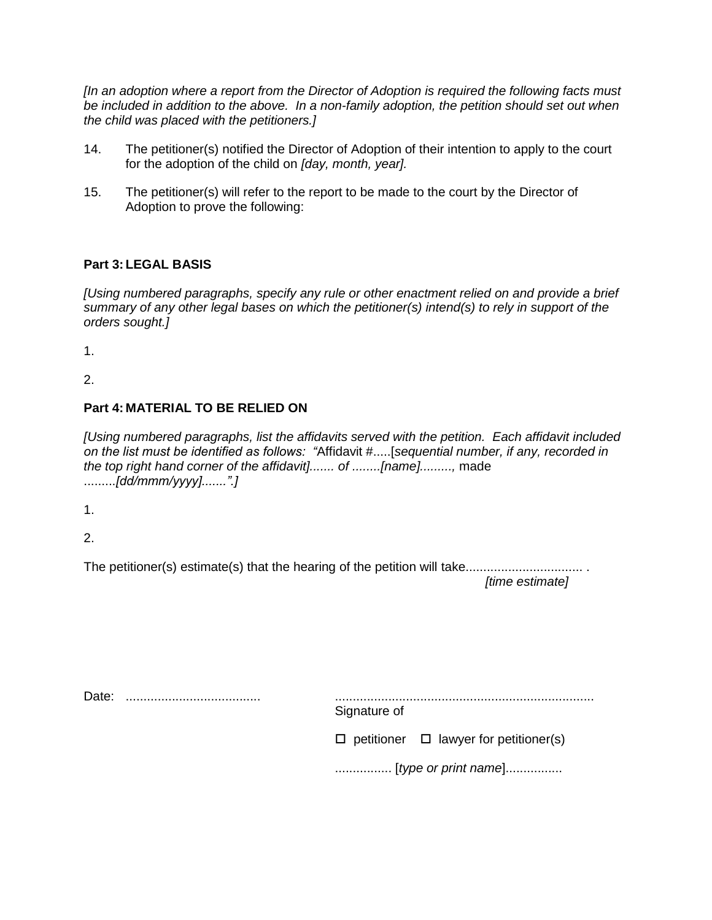*[In an adoption where a report from the Director of Adoption is required the following facts must*  be included in addition to the above. In a non-family adoption, the petition should set out when *the child was placed with the petitioners.]*

- 14. The petitioner(s) notified the Director of Adoption of their intention to apply to the court for the adoption of the child on *[day, month, year].*
- 15. The petitioner(s) will refer to the report to be made to the court by the Director of Adoption to prove the following:

# **Part 3: LEGAL BASIS**

*[Using numbered paragraphs, specify any rule or other enactment relied on and provide a brief summary of any other legal bases on which the petitioner(s) intend(s) to rely in support of the orders sought.]*

1.

2.

# **Part 4: MATERIAL TO BE RELIED ON**

*[Using numbered paragraphs, list the affidavits served with the petition. Each affidavit included on the list must be identified as follows: "*Affidavit #.....[*sequential number, if any, recorded in the top right hand corner of the affidavit]....... of ........[name].........,* made .........*[dd/mmm/yyyy].......".]*

1.

2.

The petitioner(s) estimate(s) that the hearing of the petition will take................................. . *[time estimate]*

Date: ...................................... ......................................................................... Signature of  $\Box$  petitioner  $\Box$  lawyer for petitioner(s)

................ [*type or print name*]................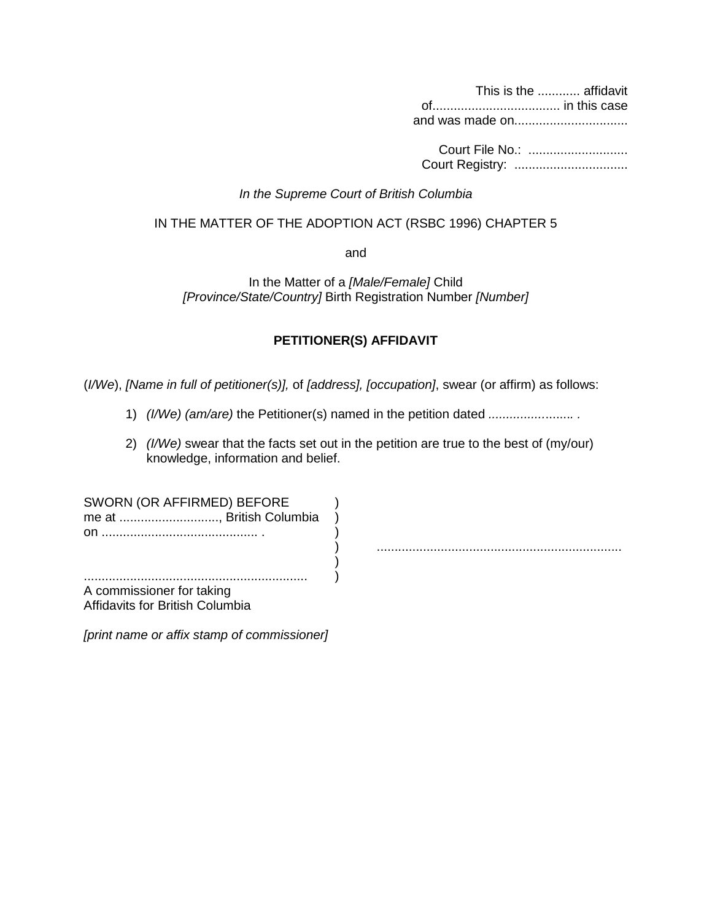This is the ............ affidavit of.................................... in this case and was made on................................

Court File No.: ............................ Court Registry: ................................

#### *In the Supreme Court of British Columbia*

#### IN THE MATTER OF THE ADOPTION ACT (RSBC 1996) CHAPTER 5

and

In the Matter of a *[Male/Female]* Child *[Province/State/Country]* Birth Registration Number *[Number]*

# **PETITIONER(S) AFFIDAVIT**

(*I/We*), *[Name in full of petitioner(s)],* of *[address], [occupation]*, swear (or affirm) as follows:

- 1) *(I/We) (am/are)* the Petitioner(s) named in the petition dated *................*.......*. .*
- 2) *(I/We)* swear that the facts set out in the petition are true to the best of (my/our) knowledge, information and belief.

| SWORN (OR AFFIRMED) BEFORE<br>me at , British Columbia<br>on. |  |
|---------------------------------------------------------------|--|
|                                                               |  |
|                                                               |  |
|                                                               |  |
| A commissioner for taking                                     |  |
| Affidavits for British Columbia                               |  |

*[print name or affix stamp of commissioner]*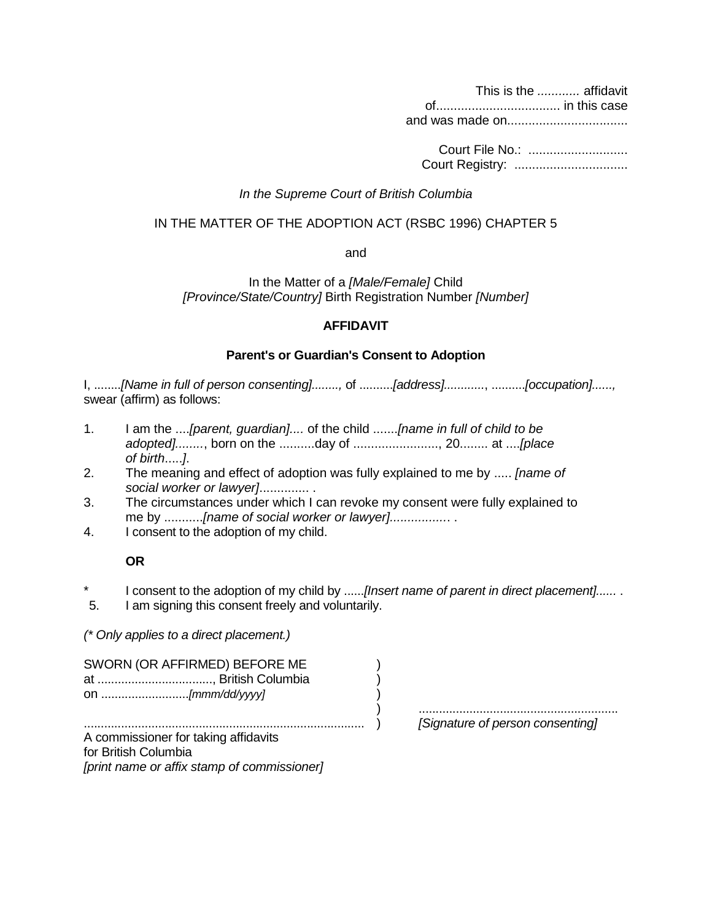This is the *............* affidavit of................................... in this case and was made on..................................

Court File No.: ............................ Court Registry: ................................

#### *In the Supreme Court of British Columbia*

#### IN THE MATTER OF THE ADOPTION ACT (RSBC 1996) CHAPTER 5

and

In the Matter of a *[Male/Female]* Child *[Province/State/Country]* Birth Registration Number *[Number]*

### **AFFIDAVIT**

#### **Parent's or Guardian's Consent to Adoption**

I, ........*[Name in full of person consenting]........,* of ..........*[address]............*, ..........*[occupation]......,*  swear (affirm) as follows:

- 1. I am the ....*[parent, guardian]....* of the child .......*[name in full of child to be adopted]........*, born on the ..........day of ........................, 20........ at ....*[place of birth*.....*]*.
- 2. The meaning and effect of adoption was fully explained to me by ..... *[name of social worker or lawyer]*.............. .
- 3. The circumstances under which I can revoke my consent were fully explained to me by ...........[name of social worker or lawyer]....................
- 4. I consent to the adoption of my child.

### **OR**

- I consent to the adoption of my child by ......*[Insert name of parent in direct placement].....*.
- 5. I am signing this consent freely and voluntarily.

*(\* Only applies to a direct placement.)*

| SWORN (OR AFFIRMED) BEFORE ME |  |
|-------------------------------|--|
| at , British Columbia         |  |
|                               |  |

) ........................................................... ................................................................................... ) *[Signature of person consenting]*

A commissioner for taking affidavits for British Columbia *[print name or affix stamp of commissioner]*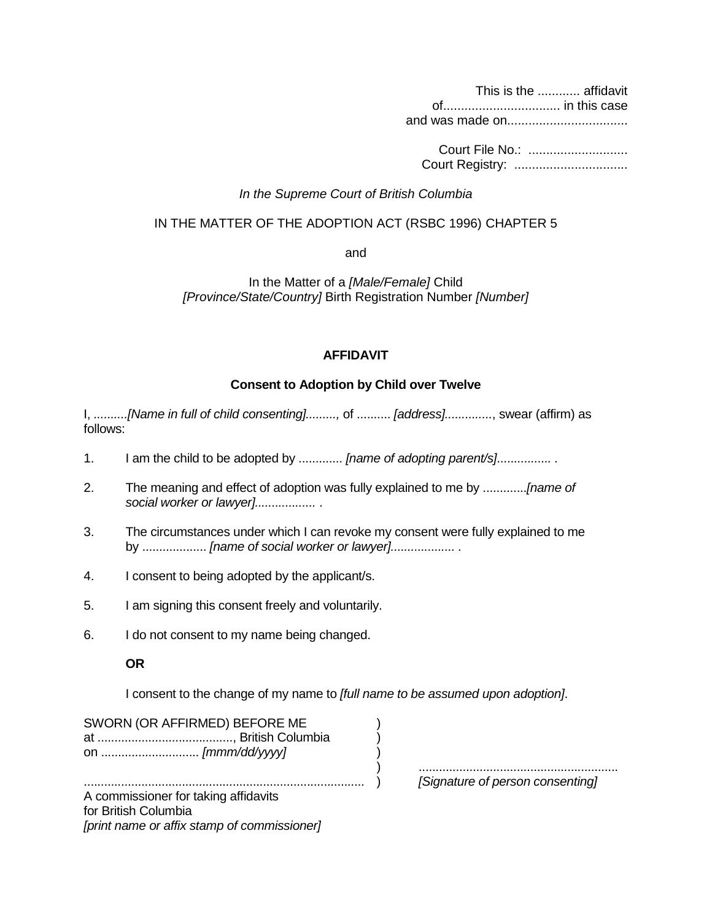This is the ............ affidavit of................................. in this case and was made on..................................

Court File No.: ............................ Court Registry: ................................

#### *In the Supreme Court of British Columbia*

#### IN THE MATTER OF THE ADOPTION ACT (RSBC 1996) CHAPTER 5

and

In the Matter of a *[Male/Female]* Child *[Province/State/Country]* Birth Registration Number *[Number]*

#### **AFFIDAVIT**

### **Consent to Adoption by Child over Twelve**

I, *..........[Name in full of child consenting].........,* of .......... *[address]..............*, swear (affirm) as follows:

- 1. I am the child to be adopted by ............. *[name of adopting parent/s]...............*..
- 2. The meaning and effect of adoption was fully explained to me by .............*[name of social worker or lawyer]..................* .
- 3. The circumstances under which I can revoke my consent were fully explained to me by ................... *[name of social worker or lawyer]................... .*
- 4. I consent to being adopted by the applicant/s.
- 5. I am signing this consent freely and voluntarily.
- 6. I do not consent to my name being changed.

### **OR**

I consent to the change of my name to *[full name to be assumed upon adoption]*.

SWORN (OR AFFIRMED) BEFORE ME ) at ........................................, British Columbia ) on ............................. *[mmm/dd/yyyy]* )

) ...........................................................

................................................................................... ) *[Signature of person consenting]*

A commissioner for taking affidavits for British Columbia *[print name or affix stamp of commissioner]*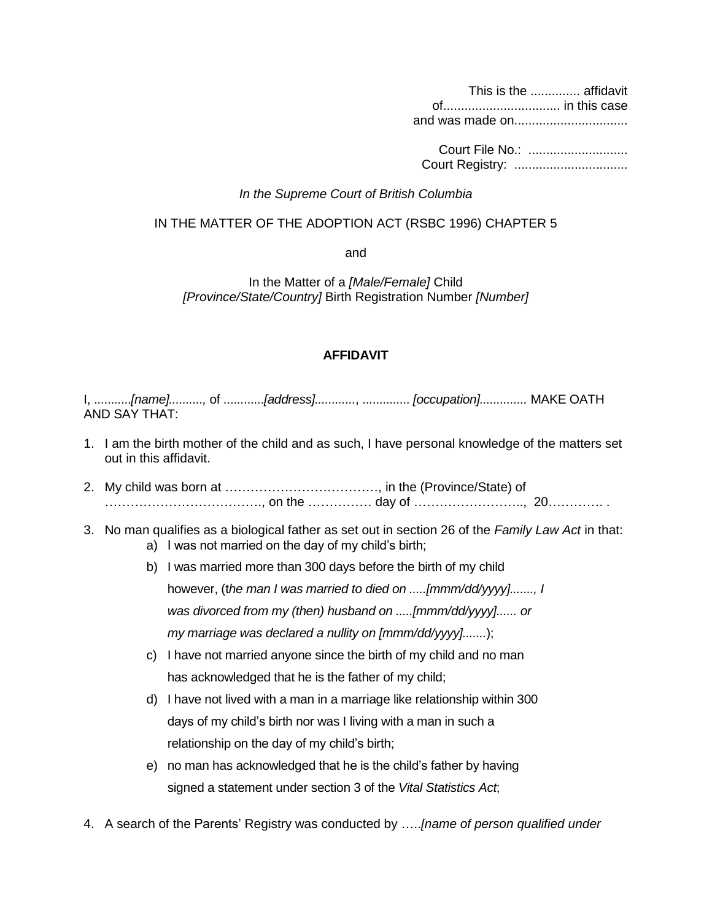This is the .............. affidavit of................................. in this case and was made on................................

Court File No.: ............................ Court Registry: ................................

#### *In the Supreme Court of British Columbia*

#### IN THE MATTER OF THE ADOPTION ACT (RSBC 1996) CHAPTER 5

and

In the Matter of a *[Male/Female]* Child *[Province/State/Country]* Birth Registration Number *[Number]*

#### **AFFIDAVIT**

I, ...........*[name]..........,* of ............*[address]............*, .............. *[occupation]..............* MAKE OATH AND SAY THAT:

- 1. I am the birth mother of the child and as such, I have personal knowledge of the matters set out in this affidavit.
- 2. My child was born at ………………………………, in the (Province/State) of ………………………………., on the …………… day of …………………….., 20…………. .
- 3. No man qualifies as a biological father as set out in section 26 of the *Family Law Act* in that: a) I was not married on the day of my child's birth;
	- b) I was married more than 300 days before the birth of my child however, (t*he man I was married to died on .....[mmm/dd/yyyy]......., I was divorced from my (then) husband on .....[mmm/dd/yyyy]...... or my marriage was declared a nullity on [mmm/dd/yyyy].......*);
	- c) I have not married anyone since the birth of my child and no man has acknowledged that he is the father of my child;
	- d) I have not lived with a man in a marriage like relationship within 300 days of my child's birth nor was I living with a man in such a relationship on the day of my child's birth;
	- e) no man has acknowledged that he is the child's father by having signed a statement under section 3 of the *Vital Statistics Act*;
- 4. A search of the Parents' Registry was conducted by …..*[name of person qualified under*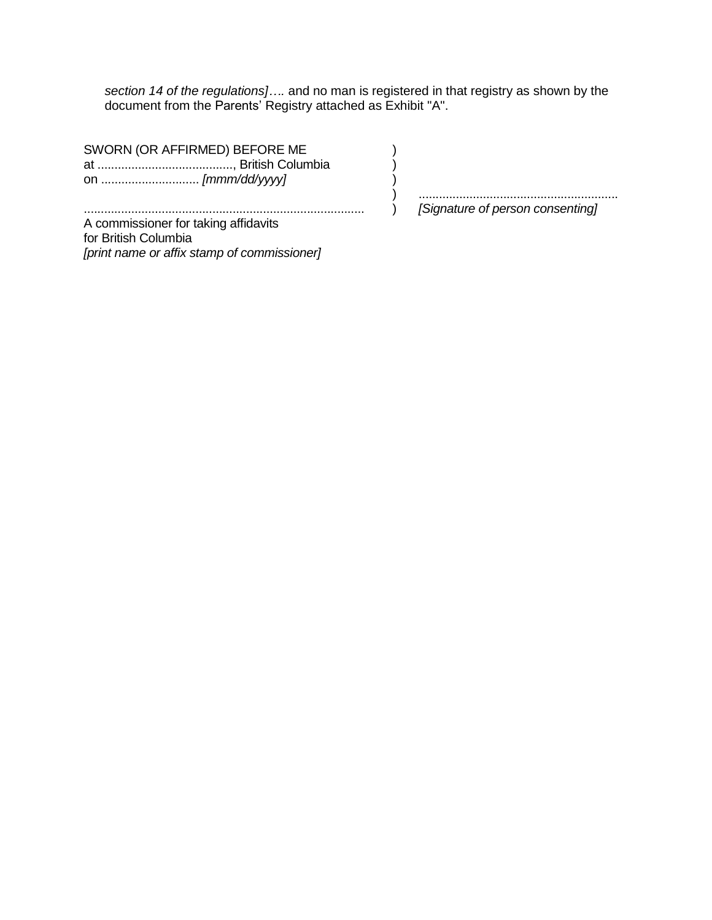section 14 of the regulations].... and no man is registered in that registry as shown by the document from the Parents' Registry attached as Exhibit "A".

 $\mathcal{C}$ 

 $\big)$ 

 $\overline{)}$ 

SWORN (OR AFFIRMED) BEFORE ME 

 $\mathcal{L}$  $\left( \right)$ [Signature of person consenting]

A commissioner for taking affidavits for British Columbia [print name or affix stamp of commissioner]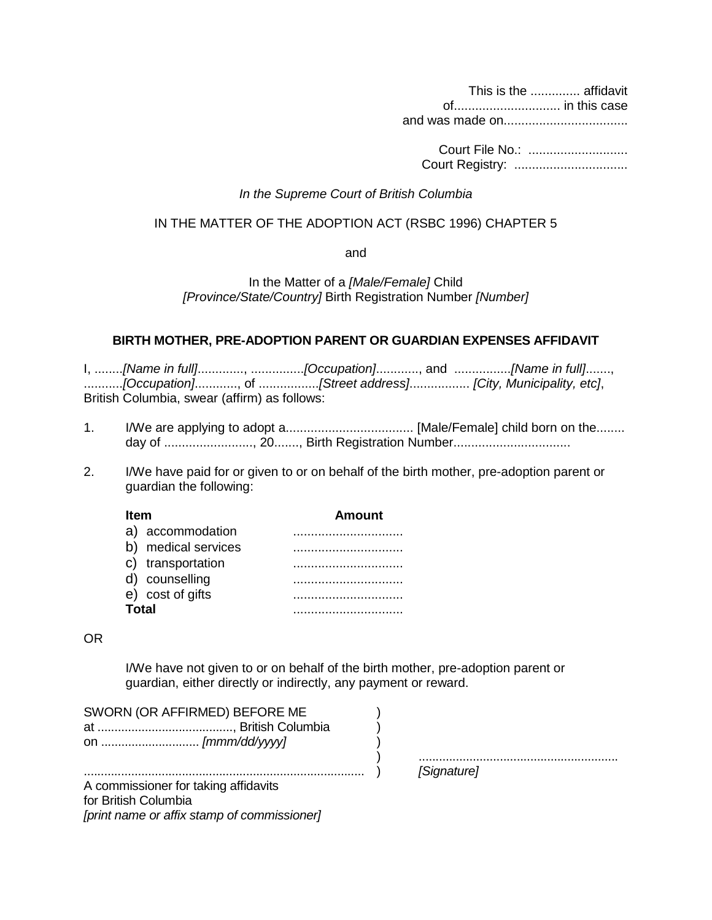This is the .............. affidavit of.............................. in this case

and was made on...................................

Court File No.: ............................ Court Registry: ................................

#### *In the Supreme Court of British Columbia*

#### IN THE MATTER OF THE ADOPTION ACT (RSBC 1996) CHAPTER 5

and

In the Matter of a *[Male/Female]* Child *[Province/State/Country]* Birth Registration Number *[Number]*

#### **BIRTH MOTHER, PRE-ADOPTION PARENT OR GUARDIAN EXPENSES AFFIDAVIT**

I, ........*[Name in full]*............., ...............*[Occupation]*............, and ................*[Name in full]*......., ...........*[Occupation]*............, of .................*[Street address]*................. *[City, Municipality, etc]*, British Columbia, swear (affirm) as follows:

- 1. I/We are applying to adopt a.................................... [Male/Female] child born on the........ day of ........................., 20......., Birth Registration Number.................................
- 2. I/We have paid for or given to or on behalf of the birth mother, pre-adoption parent or guardian the following:

| ltem                   | Amount |
|------------------------|--------|
| accommodation<br>a)    |        |
| medical services<br>b) |        |
| transportation         |        |
| counselling            |        |
| cost of gifts<br>e)    |        |
| Total                  |        |

#### OR

I/We have not given to or on behalf of the birth mother, pre-adoption parent or guardian, either directly or indirectly, any payment or reward.

| SWORN (OR AFFIRMED) BEFORE ME |  |
|-------------------------------|--|
|                               |  |
|                               |  |

| .<br>       |
|-------------|
| [Signature] |
|             |

................................................................................... ) *[Signature]* A commissioner for taking affidavits for British Columbia *[print name or affix stamp of commissioner]*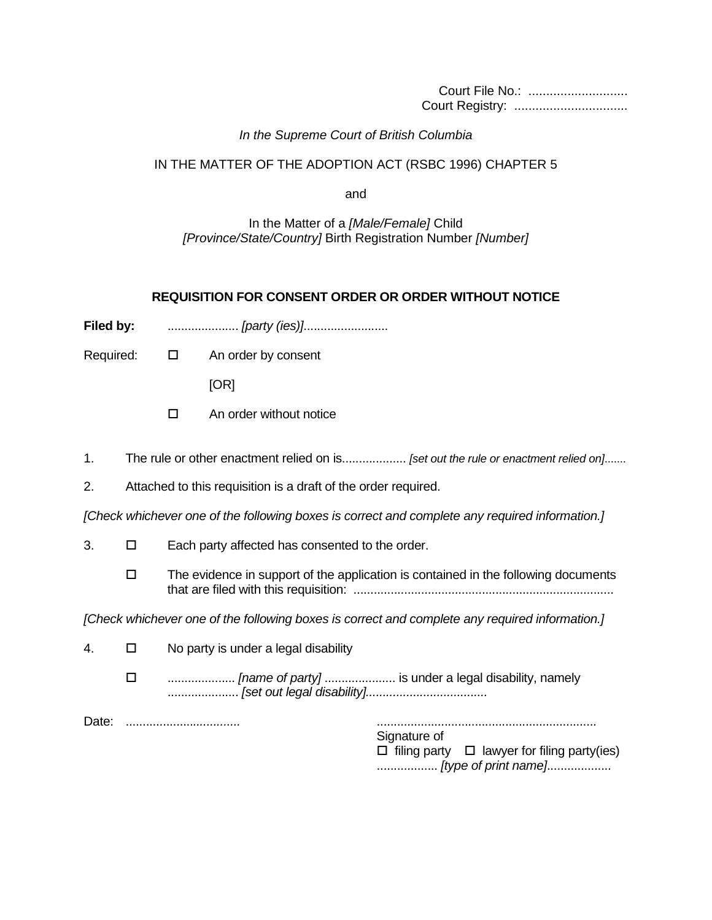Court File No.: ............................ Court Registry: ................................

### *In the Supreme Court of British Columbia*

#### IN THE MATTER OF THE ADOPTION ACT (RSBC 1996) CHAPTER 5

and

In the Matter of a *[Male/Female]* Child *[Province/State/Country]* Birth Registration Number *[Number]*

#### **REQUISITION FOR CONSENT ORDER OR ORDER WITHOUT NOTICE**

**Filed by:** ..........................*[party (ies)]........................*....

Required:  $\Box$  An order by consent

[OR]

- $\Box$  An order without notice
- 1. The rule or other enactment relied on is................... *[set out the rule or enactment relied on]*.......
- 2. Attached to this requisition is a draft of the order required.

*[Check whichever one of the following boxes is correct and complete any required information.]*

- $3. \Box$  Each party affected has consented to the order.
	- $\Box$  The evidence in support of the application is contained in the following documents that are filed with this requisition: .............................................................................

*[Check whichever one of the following boxes is correct and complete any required information.]*

- 4.  $\Box$  No party is under a legal disability
	- .................... *[name of party]* ..................... is under a legal disability, namely ..................... *[set out legal disability]....................................*

Date: ....................*..............* .................................................................

Signature of  $\Box$  filing party  $\Box$  lawyer for filing party(ies) .................. *[type of print name]*...................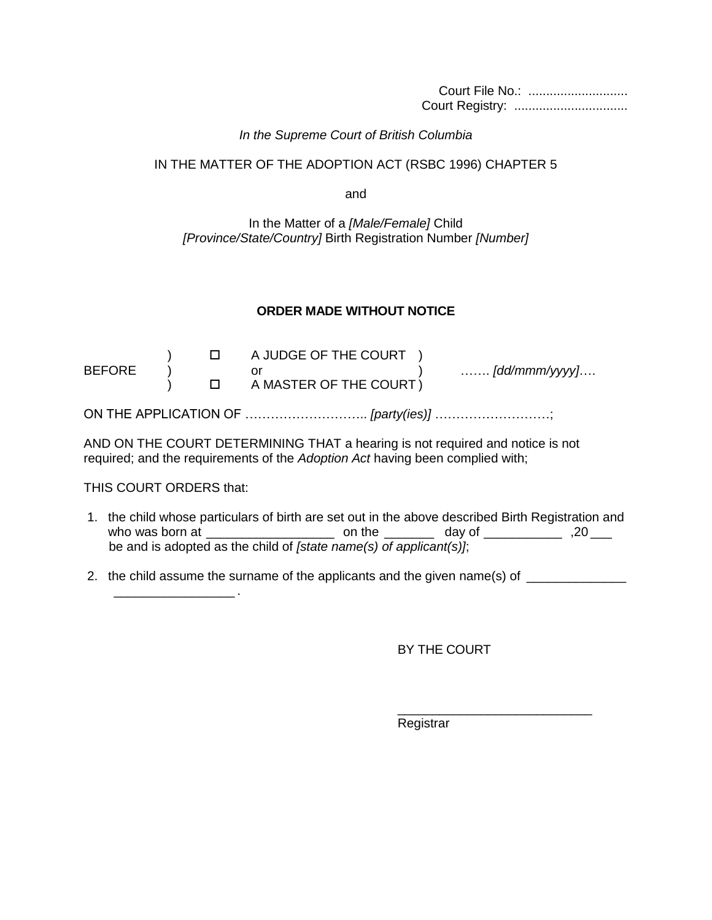Court File No.: ............................ Court Registry: ................................

#### *In the Supreme Court of British Columbia*

#### IN THE MATTER OF THE ADOPTION ACT (RSBC 1996) CHAPTER 5

and

### In the Matter of a *[Male/Female]* Child *[Province/State/Country]* Birth Registration Number *[Number]*

# **ORDER MADE WITHOUT NOTICE**

|               |  | I A JUDGE OF THE COURT ) |                               |
|---------------|--|--------------------------|-------------------------------|
| <b>BEFORE</b> |  |                          | $\ldots \ldots$ [dd/mmm/yyyy] |
|               |  | I A MASTER OF THE COURT) |                               |
|               |  |                          |                               |

ON THE APPLICATION OF ……………………….. *[party(ies)]* ………………………;

AND ON THE COURT DETERMINING THAT a hearing is not required and notice is not required; and the requirements of the *Adoption Act* having been complied with;

### THIS COURT ORDERS that:

\_\_\_\_\_\_\_\_\_\_\_\_\_\_\_\_\_ .

- 1. the child whose particulars of birth are set out in the above described Birth Registration and who was born at \_\_\_\_\_\_\_\_\_\_\_\_\_\_\_\_\_\_ on the \_\_\_\_\_\_\_ day of \_\_\_\_\_\_\_\_\_\_\_ ,20 \_\_\_ be and is adopted as the child of *[state name(s) of applicant(s)]*;
- 2. the child assume the surname of the applicants and the given name(s) of

BY THE COURT

\_\_\_\_\_\_\_\_\_\_\_\_\_\_\_\_\_\_\_\_\_\_\_\_\_\_\_\_

Registrar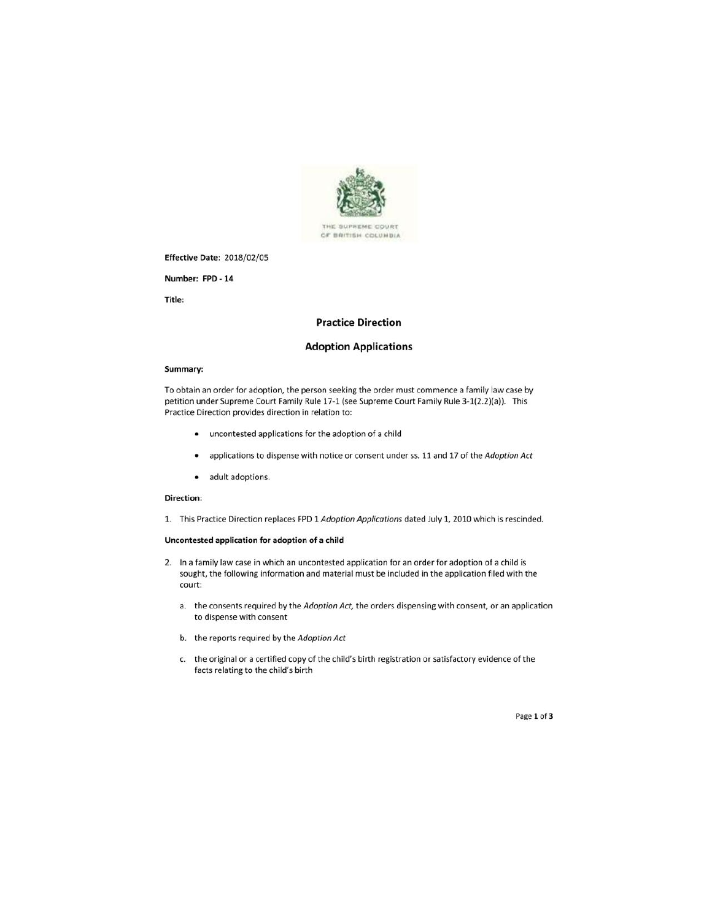

#### **Effective Date: 2018/02/05**

Number: FPD - 14

Title:

#### **Practice Direction**

#### **Adoption Applications**

#### Summary:

To obtain an order for adoption, the person seeking the order must commence a family law case by petition under Supreme Court Family Rule 17-1 (see Supreme Court Family Rule 3-1(2.2)(a)). This Practice Direction provides direction in relation to:

- uncontested applications for the adoption of a child
- applications to dispense with notice or consent under ss. 11 and 17 of the Adoption Act  $\bullet$
- adult adoptions.  $\bullet$

#### Direction:

1. This Practice Direction replaces FPD 1 Adoption Applications dated July 1, 2010 which is rescinded.

#### Uncontested application for adoption of a child

- 2. In a family law case in which an uncontested application for an order for adoption of a child is sought, the following information and material must be included in the application filed with the court:
	- a. the consents required by the Adoption Act, the orders dispensing with consent, or an application to dispense with consent
	- b. the reports required by the Adoption Act
	- c. the original or a certified copy of the child's birth registration or satisfactory evidence of the facts relating to the child's birth

Page 1 of 3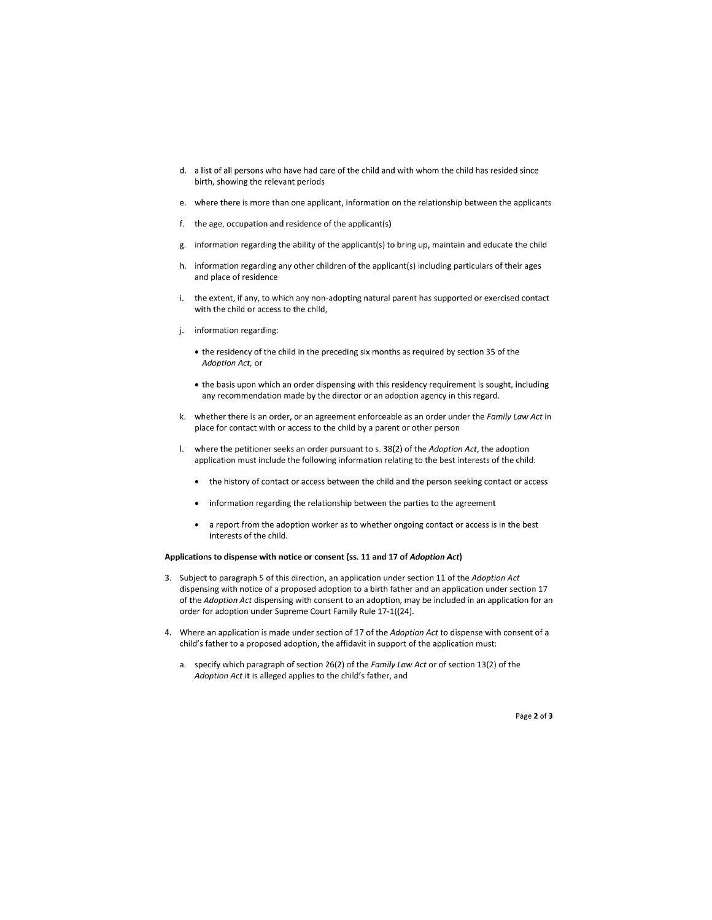- d. a list of all persons who have had care of the child and with whom the child has resided since birth, showing the relevant periods
- e. where there is more than one applicant, information on the relationship between the applicants
- f. the age, occupation and residence of the applicant(s)
- information regarding the ability of the applicant(s) to bring up, maintain and educate the child g.
- h. information regarding any other children of the applicant(s) including particulars of their ages and place of residence
- $\mathbf{i}$ . the extent, if any, to which any non-adopting natural parent has supported or exercised contact with the child or access to the child,
- information regarding: j.
	- the residency of the child in the preceding six months as required by section 35 of the Adoption Act, or
	- the basis upon which an order dispensing with this residency requirement is sought, including any recommendation made by the director or an adoption agency in this regard.
- k. whether there is an order, or an agreement enforceable as an order under the Family Law Act in place for contact with or access to the child by a parent or other person
- I. where the petitioner seeks an order pursuant to s. 38(2) of the Adoption Act, the adoption application must include the following information relating to the best interests of the child:
	- the history of contact or access between the child and the person seeking contact or access
	- information regarding the relationship between the parties to the agreement
	- a report from the adoption worker as to whether ongoing contact or access is in the best interests of the child.

#### Applications to dispense with notice or consent (ss. 11 and 17 of Adoption Act)

- 3. Subject to paragraph 5 of this direction, an application under section 11 of the Adoption Act dispensing with notice of a proposed adoption to a birth father and an application under section 17 of the Adoption Act dispensing with consent to an adoption, may be included in an application for an order for adoption under Supreme Court Family Rule 17-1((24).
- 4. Where an application is made under section of 17 of the Adoption Act to dispense with consent of a child's father to a proposed adoption, the affidavit in support of the application must:
	- a. specify which paragraph of section 26(2) of the Family Law Act or of section 13(2) of the Adoption Act it is alleged applies to the child's father, and

Page 2 of 3